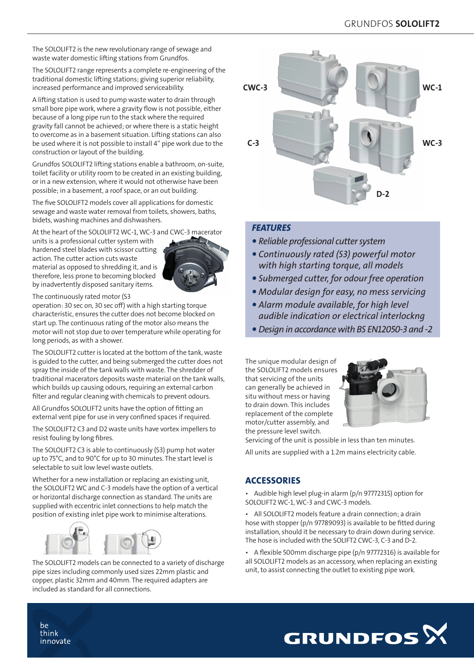The SOLOLIFT2 is the new revolutionary range of sewage and waste water domestic lifting stations from Grundfos.

The SOLOLIFT2 range represents a complete re-engineering of the traditional domestic lifting stations; giving superior reliability, increased performance and improved serviceability.

A lifting station is used to pump waste water to drain through small bore pipe work, where a gravity flow is not possible, either because of a long pipe run to the stack where the required gravity fall cannot be achieved; or where there is a static height to overcome as in a basement situation. Lifting stations can also be used where it is not possible to install 4" pipe work due to the construction or layout of the building.

Grundfos SOLOLIFT2 lifting stations enable a bathroom, on-suite, toilet facility or utility room to be created in an existing building, or in a new extension, where it would not otherwise have been possible; in a basement, a roof space, or an out building.

The five SOLOLIFT2 models cover all applications for domestic sewage and waste water removal from toilets, showers, baths, bidets, washing machines and dishwashers.

At the heart of the SOLOLIFT2 WC-1, WC-3 and CWC-3 macerator

units is a professional cutter system with hardened steel blades with scissor cutting action. The cutter action cuts waste material as opposed to shredding it, and is therefore, less prone to becoming blocked by inadvertently disposed sanitary items.



The continuously rated motor (S3

operation: 30 sec on, 30 sec off) with a high starting torque characteristic, ensures the cutter does not become blocked on start up. The continuous rating of the motor also means the motor will not stop due to over temperature while operating for long periods, as with a shower.

The SOLOLIFT2 cutter is located at the bottom of the tank, waste is guided to the cutter, and being submerged the cutter does not spray the inside of the tank walls with waste. The shredder of traditional macerators deposits waste material on the tank walls, which builds up causing odours, requiring an external carbon filter and regular cleaning with chemicals to prevent odours.

All Grundfos SOLOLIFT2 units have the option of fitting an external vent pipe for use in very confined spaces if required.

The SOLOLIFT2 C3 and D2 waste units have vortex impellers to resist fouling by long fibres.

The SOLOLIFT2 C3 is able to continuously (S3) pump hot water up to 75°C, and to 90°C for up to 30 minutes. The start level is selectable to suit low level waste outlets.

Whether for a new installation or replacing an existing unit, the SOLOLIFT2 WC and C-3 models have the option of a vertical or horizontal discharge connection as standard. The units are supplied with eccentric inlet connections to help match the position of existing inlet pipe work to minimise alterations.



The SOLOLIFT2 models can be connected to a variety of discharge pipe sizes including commonly used sizes 22mm plastic and copper, plastic 32mm and 40mm. The required adapters are included as standard for all connections.



## *FEATURES*

- *• Reliable professional cutter system*
- *• Continuously rated (S3) powerful motor with high starting torque, all models*
- *• Submerged cutter, for odour free operation*
- *• Modular design for easy, no mess servicing*
- *• Alarm module available, for high level audible indication or electrical interlockng*
- *• Design in accordance with BS EN12050-3 and -2*

The unique modular design of the SOLOLIFT2 models ensures that servicing of the units can generally be achieved in situ without mess or having to drain down. This includes replacement of the complete motor/cutter assembly, and the pressure level switch.



Servicing of the unit is possible in less than ten minutes.

All units are supplied with a 1.2m mains electricity cable.

# **ACCESSORIES**

• Audible high level plug-in alarm (p/n 97772315) option for SOLOLIFT2 WC-1, WC-3 and CWC-3 models.

All SOLOLIFT2 models feature a drain connection; a drain hose with stopper (p/n 97789093) is available to be fitted during installation, should it be necessary to drain down during service. The hose is included with the SOLIFT2 CWC-3, C-3 and D-2.

• A flexible 500mm discharge pipe (p/n 97772316) is available for all SOLOLIFT2 models as an accessory, when replacing an existing unit, to assist connecting the outlet to existing pipe work.



be think innovate